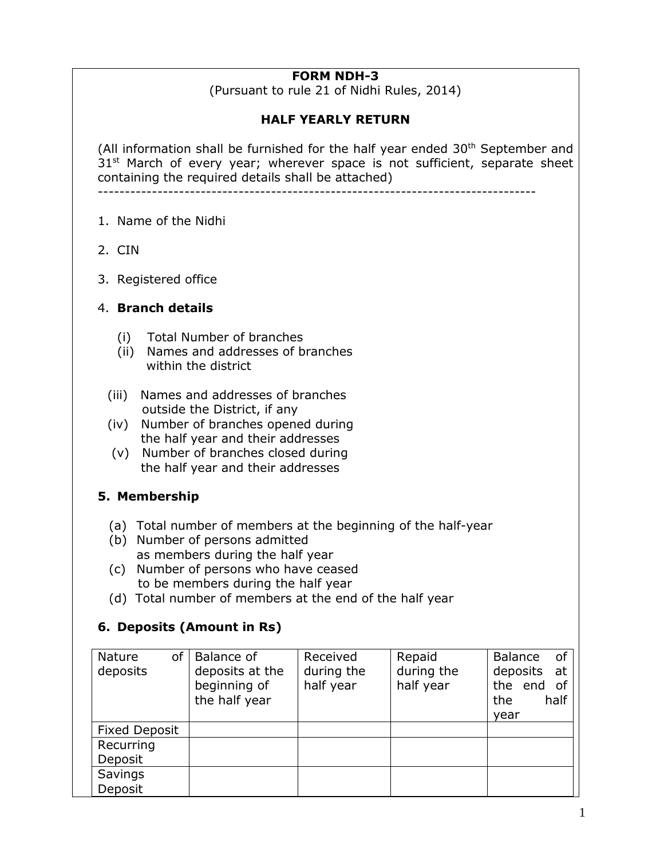### **FORM NDH-3**

(Pursuant to rule 21 of Nidhi Rules, 2014)

### **HALF YEARLY RETURN**

(All information shall be furnished for the half year ended  $30<sup>th</sup>$  September and 31<sup>st</sup> March of every year; wherever space is not sufficient, separate sheet containing the required details shall be attached)

---------------------------------------------------------------------------------

- 1. Name of the Nidhi
- 2. CIN
- 3. Registered office

#### 4. **Branch details**

- (i) Total Number of branches
- (ii) Names and addresses of branches within the district
- (iii) Names and addresses of branches outside the District, if any
- (iv) Number of branches opened during the half year and their addresses
- (v) Number of branches closed during the half year and their addresses

### **5. Membership**

- (a) Total number of members at the beginning of the half-year
- (b) Number of persons admitted as members during the half year
- (c) Number of persons who have ceased to be members during the half year
- (d) Total number of members at the end of the half year

### **6. Deposits (Amount in Rs)**

| of I<br><b>Nature</b><br>deposits | Balance of<br>deposits at the<br>beginning of<br>the half year | Received<br>during the<br>half year | Repaid<br>during the<br>half year | 0f<br><b>Balance</b><br>deposits<br>at<br>the end<br>of<br>half<br>the<br>year |
|-----------------------------------|----------------------------------------------------------------|-------------------------------------|-----------------------------------|--------------------------------------------------------------------------------|
| <b>Fixed Deposit</b>              |                                                                |                                     |                                   |                                                                                |
| Recurring                         |                                                                |                                     |                                   |                                                                                |
| Deposit                           |                                                                |                                     |                                   |                                                                                |
| Savings                           |                                                                |                                     |                                   |                                                                                |
| Deposit                           |                                                                |                                     |                                   |                                                                                |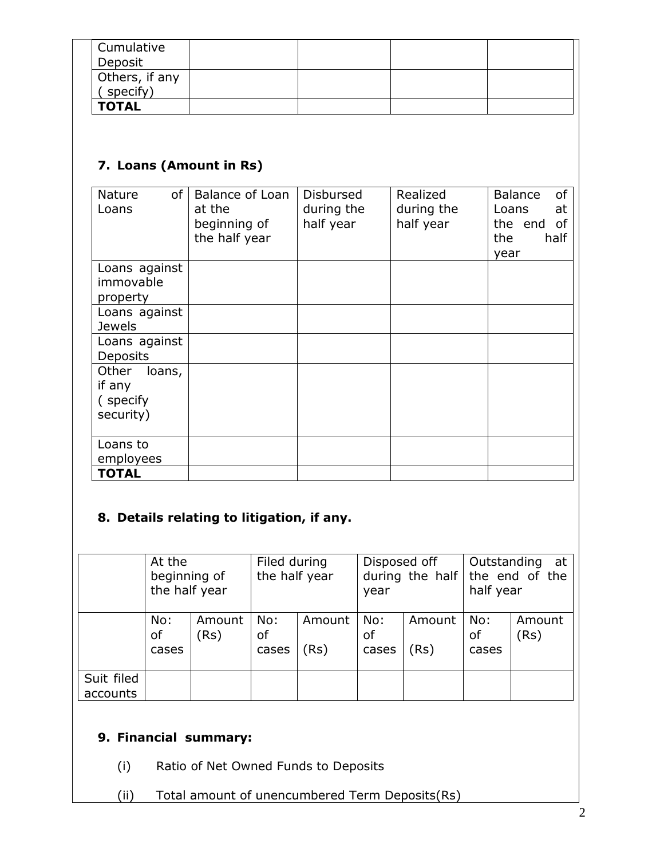| Cumulative<br>Deposit      |  |  |
|----------------------------|--|--|
| Others, if any<br>specify) |  |  |
| <b>TOTAL</b>               |  |  |

# **7. Loans (Amount in Rs)**

| of<br>Nature<br>Loans                               | Balance of Loan<br>at the<br>beginning of<br>the half year | <b>Disbursed</b><br>during the<br>half year | Realized<br>during the<br>half year | Balance<br>of<br>at<br>Loans<br>of<br>the end<br>the<br>half<br>year |
|-----------------------------------------------------|------------------------------------------------------------|---------------------------------------------|-------------------------------------|----------------------------------------------------------------------|
| Loans against<br>immovable<br>property              |                                                            |                                             |                                     |                                                                      |
| Loans against<br><b>Jewels</b>                      |                                                            |                                             |                                     |                                                                      |
| Loans against<br><b>Deposits</b>                    |                                                            |                                             |                                     |                                                                      |
| loans,<br>Other<br>if any<br>(specify)<br>security) |                                                            |                                             |                                     |                                                                      |
| Loans to<br>employees                               |                                                            |                                             |                                     |                                                                      |
| <b>TOTAL</b>                                        |                                                            |                                             |                                     |                                                                      |

# **8. Details relating to litigation, if any.**

|                        | At the<br>beginning of<br>the half year |                | Filed during<br>the half year |               | Disposed off<br>during the half<br>year |                | Outstanding<br>at<br>the end of the<br>half year |                |
|------------------------|-----------------------------------------|----------------|-------------------------------|---------------|-----------------------------------------|----------------|--------------------------------------------------|----------------|
|                        | No:<br>of<br>cases                      | Amount<br>(Rs) | No:<br>оf<br>cases            | Amount<br>(Rs | No:<br>оf<br>cases                      | Amount<br>(Rs) | No:<br>of<br>cases                               | Amount<br>(Rs) |
| Suit filed<br>accounts |                                         |                |                               |               |                                         |                |                                                  |                |

## **9. Financial summary:**

- (i) Ratio of Net Owned Funds to Deposits
- (ii) Total amount of unencumbered Term Deposits(Rs)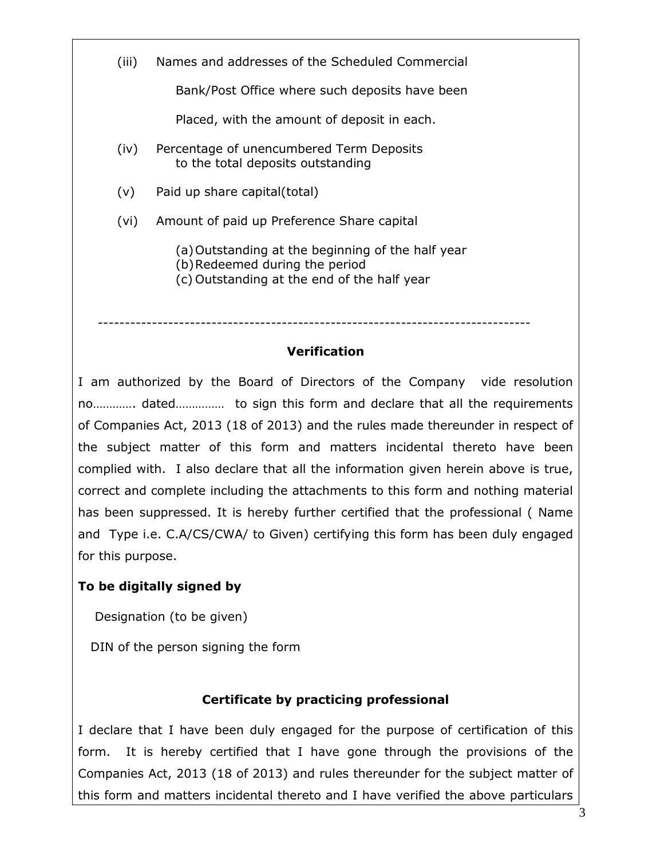(iii) Names and addresses of the Scheduled Commercial

Bank/Post Office where such deposits have been

Placed, with the amount of deposit in each.

- (iv) Percentage of unencumbered Term Deposits to the total deposits outstanding
- (v) Paid up share capital(total)

(vi) Amount of paid up Preference Share capital

(a)Outstanding at the beginning of the half year

- (b)Redeemed during the period
- (c) Outstanding at the end of the half year

## **Verification**

--------------------------------------------------------------------------------

I am authorized by the Board of Directors of the Company vide resolution no…………. dated…………… to sign this form and declare that all the requirements of Companies Act, 2013 (18 of 2013) and the rules made thereunder in respect of the subject matter of this form and matters incidental thereto have been complied with. I also declare that all the information given herein above is true, correct and complete including the attachments to this form and nothing material has been suppressed. It is hereby further certified that the professional ( Name and Type i.e. C.A/CS/CWA/ to Given) certifying this form has been duly engaged for this purpose.

## **To be digitally signed by**

Designation (to be given)

DIN of the person signing the form

### **Certificate by practicing professional**

I declare that I have been duly engaged for the purpose of certification of this form. It is hereby certified that I have gone through the provisions of the Companies Act, 2013 (18 of 2013) and rules thereunder for the subject matter of this form and matters incidental thereto and I have verified the above particulars